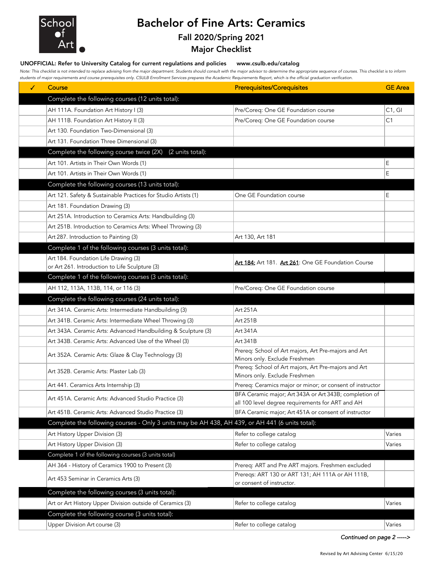

## Bachelor of Fine Arts: Ceramics Fall 2020/Spring 2021

Major Checklist

## UNOFFICIAL: Refer to University Catalog for current regulations and policies www.csulb.edu/catalog

*Note: This checklist is not intended to replace advising from the major department. Students should consult with the major advisor to determine the appropriate sequence of courses. This checklist is to inform students of major requirements and course prerequisites only. CSULB Enrollment Services prepares the Academic Requirements Report, which is the official graduation verification.*

| ✓ | Course                                                                                          | <b>Prerequisites/Corequisites</b>                                                                          | <b>GE</b> Area |
|---|-------------------------------------------------------------------------------------------------|------------------------------------------------------------------------------------------------------------|----------------|
|   | Complete the following courses (12 units total):                                                |                                                                                                            |                |
|   | AH 111A. Foundation Art History I (3)                                                           | Pre/Coreq: One GE Foundation course                                                                        | C1, G1         |
|   | AH 111B. Foundation Art History II (3)                                                          | Pre/Coreq: One GE Foundation course                                                                        | C1             |
|   | Art 130. Foundation Two-Dimensional (3)                                                         |                                                                                                            |                |
|   | Art 131. Foundation Three Dimensional (3)                                                       |                                                                                                            |                |
|   | Complete the following course twice (2X) (2 units total):                                       |                                                                                                            |                |
|   | Art 101. Artists in Their Own Words (1)                                                         |                                                                                                            | E              |
|   | Art 101. Artists in Their Own Words (1)                                                         |                                                                                                            | E              |
|   | Complete the following courses (13 units total):                                                |                                                                                                            |                |
|   | Art 121. Safety & Sustainable Practices for Studio Artists (1)                                  | One GE Foundation course                                                                                   | E              |
|   | Art 181. Foundation Drawing (3)                                                                 |                                                                                                            |                |
|   | Art 251A. Introduction to Ceramics Arts: Handbuilding (3)                                       |                                                                                                            |                |
|   | Art 251B. Introduction to Ceramics Arts: Wheel Throwing (3)                                     |                                                                                                            |                |
|   | Art 287. Introduction to Painting (3)                                                           | Art 130, Art 181                                                                                           |                |
|   | Complete 1 of the following courses (3 units total):                                            |                                                                                                            |                |
|   | Art 184. Foundation Life Drawing (3)                                                            | Art 184: Art 181. Art 261: One GE Foundation Course                                                        |                |
|   | or Art 261. Introduction to Life Sculpture (3)                                                  |                                                                                                            |                |
|   | Complete 1 of the following courses (3 units total):                                            |                                                                                                            |                |
|   | AH 112, 113A, 113B, 114, or 116 (3)                                                             | Pre/Coreq: One GE Foundation course                                                                        |                |
|   | Complete the following courses (24 units total):                                                |                                                                                                            |                |
|   | Art 341A. Ceramic Arts: Intermediate Handbuilding (3)                                           | Art 251A                                                                                                   |                |
|   | Art 341B. Ceramic Arts: Intermediate Wheel Throwing (3)                                         | Art 251B                                                                                                   |                |
|   | Art 343A. Ceramic Arts: Advanced Handbuilding & Sculpture (3)                                   | Art 341A                                                                                                   |                |
|   | Art 343B. Ceramic Arts: Advanced Use of the Wheel (3)                                           | Art 341B                                                                                                   |                |
|   | Art 352A. Ceramic Arts: Glaze & Clay Technology (3)                                             | Prereq: School of Art majors, Art Pre-majors and Art<br>Minors only. Exclude Freshmen                      |                |
|   | Art 352B. Ceramic Arts: Plaster Lab (3)                                                         | Prereq: School of Art majors, Art Pre-majors and Art<br>Minors only. Exclude Freshmen                      |                |
|   | Art 441. Ceramics Arts Internship (3)                                                           | Prereq: Ceramics major or minor; or consent of instructor                                                  |                |
|   | Art 451A. Ceramic Arts: Advanced Studio Practice (3)                                            | BFA Ceramic major; Art 343A or Art 343B; completion of<br>all 100 level degree requirements for ART and AH |                |
|   | Art 451B. Ceramic Arts: Advanced Studio Practice (3)                                            | BFA Ceramic major; Art 451A or consent of instructor                                                       |                |
|   | Complete the following courses - Only 3 units may be AH 438, AH 439, or AH 441 (6 units total): |                                                                                                            |                |
|   | Art History Upper Division (3)                                                                  | Refer to college catalog                                                                                   | Varies         |
|   | Art History Upper Division (3)                                                                  | Refer to college catalog                                                                                   | Varies         |
|   | Complete 1 of the following courses (3 units total)                                             |                                                                                                            |                |
|   | AH 364 - History of Ceramics 1900 to Present (3)                                                | Prereq: ART and Pre ART majors. Freshmen excluded                                                          |                |
|   | Art 453 Seminar in Ceramics Arts (3)                                                            | Prereqs: ART 130 or ART 131; AH 111A or AH 111B,<br>or consent of instructor.                              |                |
|   | Complete the following courses (3 units total):                                                 |                                                                                                            |                |
|   | Art or Art History Upper Division outside of Ceramics (3)                                       | Refer to college catalog                                                                                   | Varies         |
|   | Complete the following course (3 units total):                                                  |                                                                                                            |                |
|   | Upper Division Art course (3)                                                                   | Refer to college catalog                                                                                   | Varies         |

*Continued on page 2 ----->*